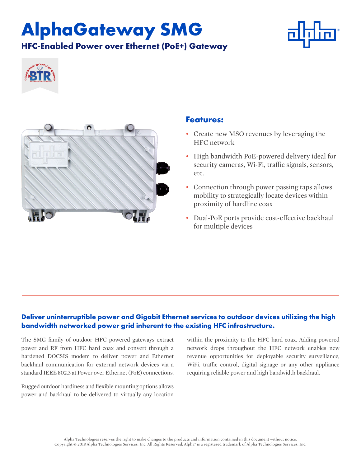# **AlphaGateway SMG HFC-Enabled Power over Ethernet (PoE+) Gateway**







### **Features:**

- Create new MSO revenues by leveraging the HFC network
- High bandwidth PoE-powered delivery ideal for security cameras, Wi-Fi, traffic signals, sensors, etc.
- Connection through power passing taps allows mobility to strategically locate devices within proximity of hardline coax
- Dual-PoE ports provide cost-effective backhaul for multiple devices

### **Deliver uninterruptible power and Gigabit Ethernet services to outdoor devices utilizing the high bandwidth networked power grid inherent to the existing HFC infrastructure.**

The SMG family of outdoor HFC powered gateways extract power and RF from HFC hard coax and convert through a hardened DOCSIS modem to deliver power and Ethernet backhaul communication for external network devices via a standard IEEE 802.3 at Power over Ethernet (PoE) connections.

Rugged outdoor hardiness and flexible mounting options allows power and backhaul to be delivered to virtually any location within the proximity to the HFC hard coax. Adding powered network drops throughout the HFC network enables new revenue opportunities for deployable security surveillance, WiFi, traffic control, digital signage or any other appliance requiring reliable power and high bandwidth backhaul.